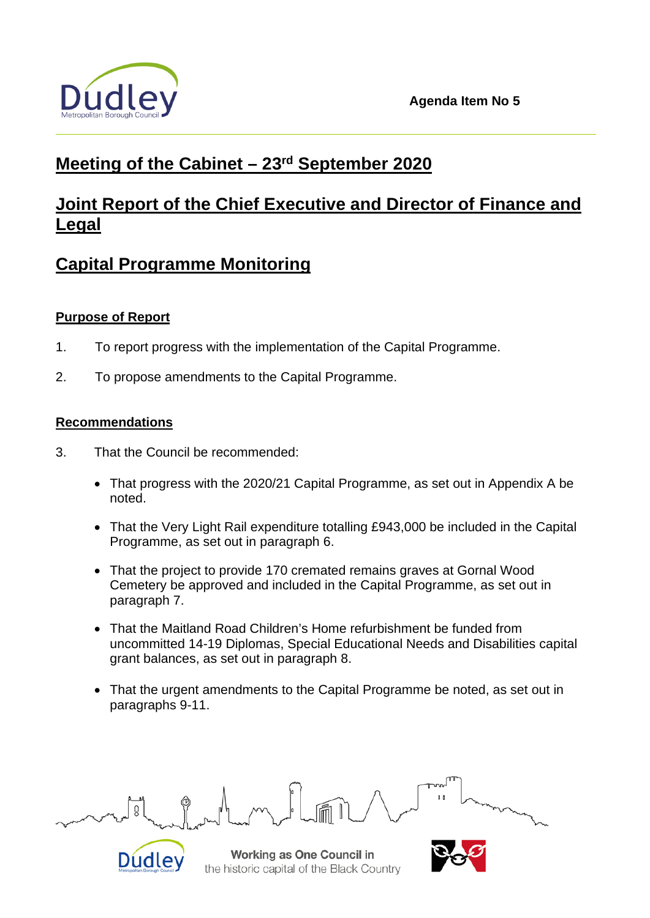

# **Meeting of the Cabinet – 23rd September 2020**

# **Joint Report of the Chief Executive and Director of Finance and Legal**

# **Capital Programme Monitoring**

# **Purpose of Report**

- 1. To report progress with the implementation of the Capital Programme.
- 2. To propose amendments to the Capital Programme.

# **Recommendations**

- 3. That the Council be recommended:
	- That progress with the 2020/21 Capital Programme, as set out in Appendix A be noted.
	- That the Very Light Rail expenditure totalling £943,000 be included in the Capital Programme, as set out in paragraph 6.
	- That the project to provide 170 cremated remains graves at Gornal Wood Cemetery be approved and included in the Capital Programme, as set out in paragraph 7.
	- That the Maitland Road Children's Home refurbishment be funded from uncommitted 14-19 Diplomas, Special Educational Needs and Disabilities capital grant balances, as set out in paragraph 8.
	- That the urgent amendments to the Capital Programme be noted, as set out in paragraphs 9-11.



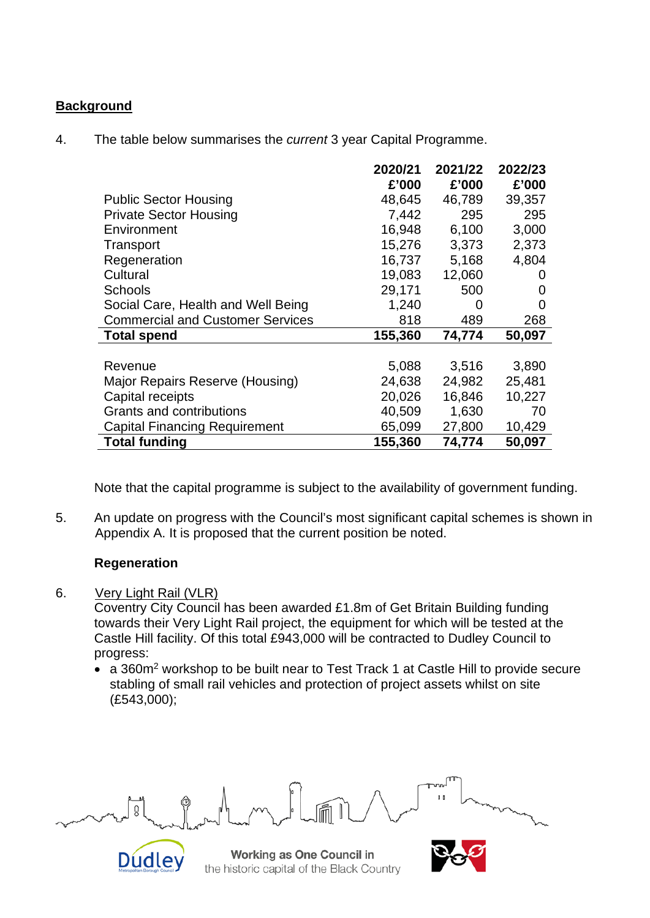# **Background**

4. The table below summarises the *current* 3 year Capital Programme.

|                                         | 2020/21 | 2021/22 | 2022/23 |
|-----------------------------------------|---------|---------|---------|
|                                         | £'000   | £'000   | £'000   |
| <b>Public Sector Housing</b>            | 48,645  | 46,789  | 39,357  |
| <b>Private Sector Housing</b>           | 7,442   | 295     | 295     |
| Environment                             | 16,948  | 6,100   | 3,000   |
| Transport                               | 15,276  | 3,373   | 2,373   |
| Regeneration                            | 16,737  | 5,168   | 4,804   |
| Cultural                                | 19,083  | 12,060  | O       |
| <b>Schools</b>                          | 29,171  | 500     | 0       |
| Social Care, Health and Well Being      | 1,240   | 0       | 0       |
| <b>Commercial and Customer Services</b> | 818     | 489     | 268     |
| <b>Total spend</b>                      | 155,360 | 74,774  | 50,097  |
|                                         |         |         |         |
| Revenue                                 | 5,088   | 3,516   | 3,890   |
| Major Repairs Reserve (Housing)         | 24,638  | 24,982  | 25,481  |
| Capital receipts                        | 20,026  | 16,846  | 10,227  |
| Grants and contributions                | 40,509  | 1,630   | 70      |
| <b>Capital Financing Requirement</b>    | 65,099  | 27,800  | 10,429  |
| <b>Total funding</b>                    | 155,360 | 74,774  | 50,097  |

Note that the capital programme is subject to the availability of government funding.

5. An update on progress with the Council's most significant capital schemes is shown in Appendix A. It is proposed that the current position be noted.

# **Regeneration**

6. Very Light Rail (VLR)

Coventry City Council has been awarded £1.8m of Get Britain Building funding towards their Very Light Rail project, the equipment for which will be tested at the Castle Hill facility. Of this total £943,000 will be contracted to Dudley Council to progress:

• a 360m<sup>2</sup> workshop to be built near to Test Track 1 at Castle Hill to provide secure stabling of small rail vehicles and protection of project assets whilst on site (£543,000);

Ŏ



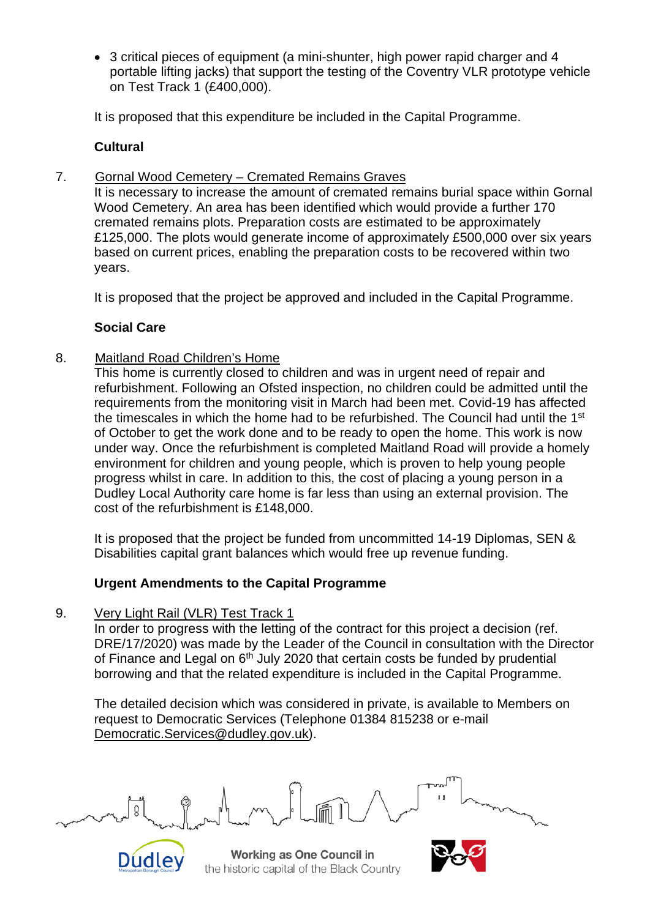• 3 critical pieces of equipment (a mini-shunter, high power rapid charger and 4 portable lifting jacks) that support the testing of the Coventry VLR prototype vehicle on Test Track 1 (£400,000).

It is proposed that this expenditure be included in the Capital Programme.

# **Cultural**

7. Gornal Wood Cemetery – Cremated Remains Graves

It is necessary to increase the amount of cremated remains burial space within Gornal Wood Cemetery. An area has been identified which would provide a further 170 cremated remains plots. Preparation costs are estimated to be approximately £125,000. The plots would generate income of approximately £500,000 over six years based on current prices, enabling the preparation costs to be recovered within two years.

It is proposed that the project be approved and included in the Capital Programme.

# **Social Care**

8. Maitland Road Children's Home

This home is currently closed to children and was in urgent need of repair and refurbishment. Following an Ofsted inspection, no children could be admitted until the requirements from the monitoring visit in March had been met. Covid-19 has affected the timescales in which the home had to be refurbished. The Council had until the 1<sup>st</sup> of October to get the work done and to be ready to open the home. This work is now under way. Once the refurbishment is completed Maitland Road will provide a homely environment for children and young people, which is proven to help young people progress whilst in care. In addition to this, the cost of placing a young person in a Dudley Local Authority care home is far less than using an external provision. The cost of the refurbishment is £148,000.

It is proposed that the project be funded from uncommitted 14-19 Diplomas, SEN & Disabilities capital grant balances which would free up revenue funding.

# **Urgent Amendments to the Capital Programme**

9. Very Light Rail (VLR) Test Track 1

In order to progress with the letting of the contract for this project a decision (ref. DRE/17/2020) was made by the Leader of the Council in consultation with the Director of Finance and Legal on  $6<sup>th</sup>$  July 2020 that certain costs be funded by prudential borrowing and that the related expenditure is included in the Capital Programme.

The detailed decision which was considered in private, is available to Members on request to Democratic Services (Telephone 01384 815238 or e-mail [Democratic.Services@dudley.gov.uk\)](mailto:Democratic.Services@dudley.gov.uk).



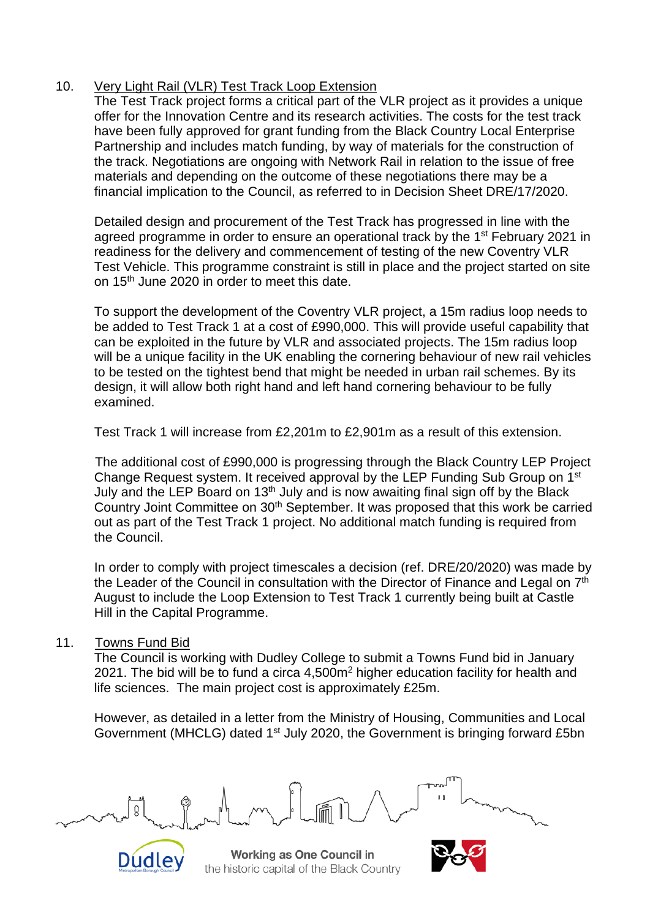# 10. Very Light Rail (VLR) Test Track Loop Extension

The Test Track project forms a critical part of the VLR project as it provides a unique offer for the Innovation Centre and its research activities. The costs for the test track have been fully approved for grant funding from the Black Country Local Enterprise Partnership and includes match funding, by way of materials for the construction of the track. Negotiations are ongoing with Network Rail in relation to the issue of free materials and depending on the outcome of these negotiations there may be a financial implication to the Council, as referred to in Decision Sheet DRE/17/2020.

Detailed design and procurement of the Test Track has progressed in line with the agreed programme in order to ensure an operational track by the 1<sup>st</sup> February 2021 in readiness for the delivery and commencement of testing of the new Coventry VLR Test Vehicle. This programme constraint is still in place and the project started on site on 15th June 2020 in order to meet this date.

To support the development of the Coventry VLR project, a 15m radius loop needs to be added to Test Track 1 at a cost of £990,000. This will provide useful capability that can be exploited in the future by VLR and associated projects. The 15m radius loop will be a unique facility in the UK enabling the cornering behaviour of new rail vehicles to be tested on the tightest bend that might be needed in urban rail schemes. By its design, it will allow both right hand and left hand cornering behaviour to be fully examined.

Test Track 1 will increase from £2,201m to £2,901m as a result of this extension.

The additional cost of £990,000 is progressing through the Black Country LEP Project Change Request system. It received approval by the LEP Funding Sub Group on 1st July and the LEP Board on  $13<sup>th</sup>$  July and is now awaiting final sign off by the Black Country Joint Committee on 30th September. It was proposed that this work be carried out as part of the Test Track 1 project. No additional match funding is required from the Council.

In order to comply with project timescales a decision (ref. DRE/20/2020) was made by the Leader of the Council in consultation with the Director of Finance and Legal on 7<sup>th</sup> August to include the Loop Extension to Test Track 1 currently being built at Castle Hill in the Capital Programme.

### 11. Towns Fund Bid

The Council is working with Dudley College to submit a Towns Fund bid in January 2021. The bid will be to fund a circa 4,500m2 higher education facility for health and life sciences. The main project cost is approximately £25m.

However, as detailed in a letter from the Ministry of Housing, Communities and Local Government (MHCLG) dated 1<sup>st</sup> July 2020, the Government is bringing forward £5bn



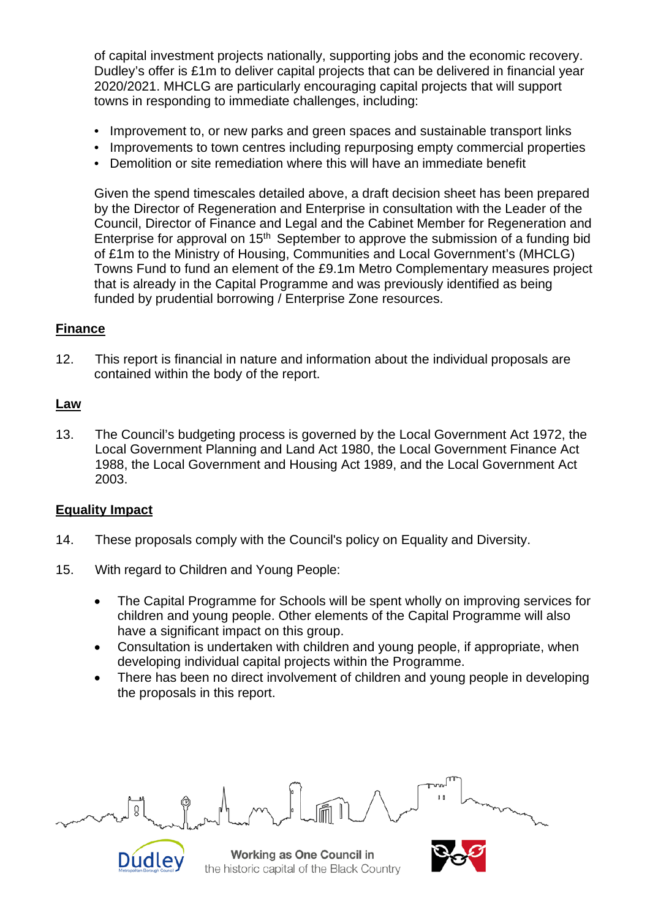of capital investment projects nationally, supporting jobs and the economic recovery. Dudley's offer is £1m to deliver capital projects that can be delivered in financial year 2020/2021. MHCLG are particularly encouraging capital projects that will support towns in responding to immediate challenges, including:

- Improvement to, or new parks and green spaces and sustainable transport links
- Improvements to town centres including repurposing empty commercial properties
- Demolition or site remediation where this will have an immediate benefit

Given the spend timescales detailed above, a draft decision sheet has been prepared by the Director of Regeneration and Enterprise in consultation with the Leader of the Council, Director of Finance and Legal and the Cabinet Member for Regeneration and Enterprise for approval on  $15<sup>th</sup>$  September to approve the submission of a funding bid of £1m to the Ministry of Housing, Communities and Local Government's (MHCLG) Towns Fund to fund an element of the £9.1m Metro Complementary measures project that is already in the Capital Programme and was previously identified as being funded by prudential borrowing / Enterprise Zone resources.

# **Finance**

12. This report is financial in nature and information about the individual proposals are contained within the body of the report.

## **Law**

13. The Council's budgeting process is governed by the Local Government Act 1972, the Local Government Planning and Land Act 1980, the Local Government Finance Act 1988, the Local Government and Housing Act 1989, and the Local Government Act 2003.

### **Equality Impact**

- 14. These proposals comply with the Council's policy on Equality and Diversity.
- 15. With regard to Children and Young People:
	- The Capital Programme for Schools will be spent wholly on improving services for children and young people. Other elements of the Capital Programme will also have a significant impact on this group.
	- Consultation is undertaken with children and young people, if appropriate, when developing individual capital projects within the Programme.
	- There has been no direct involvement of children and young people in developing the proposals in this report.



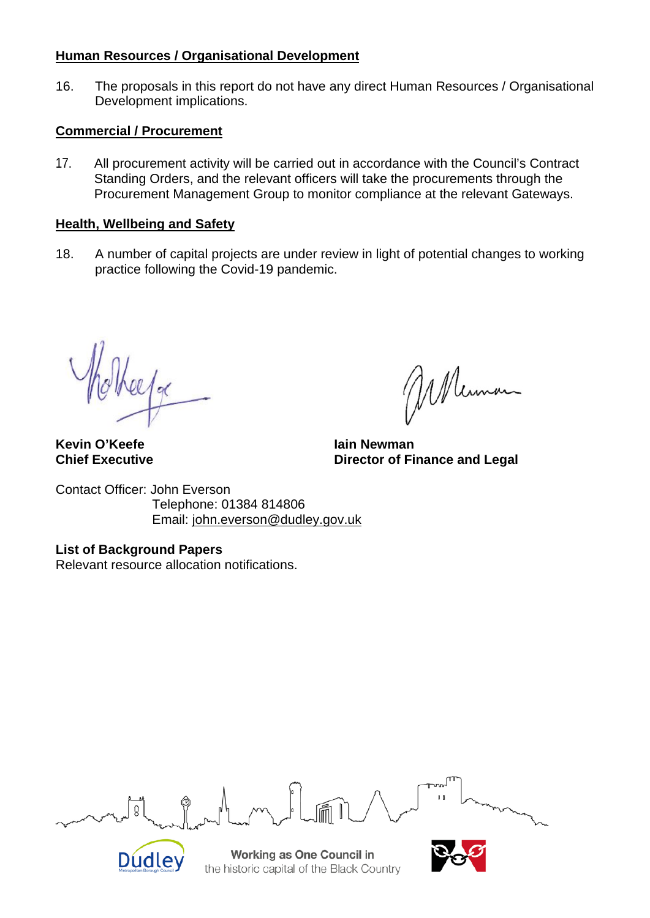# **Human Resources / Organisational Development**

16. The proposals in this report do not have any direct Human Resources / Organisational Development implications.

## **Commercial / Procurement**

17. All procurement activity will be carried out in accordance with the Council's Contract Standing Orders, and the relevant officers will take the procurements through the Procurement Management Group to monitor compliance at the relevant Gateways.

# **Health, Wellbeing and Safety**

18. A number of capital projects are under review in light of potential changes to working practice following the Covid-19 pandemic.

2l/g(

Mennan

**Director of Finance and Legal** 

**Kevin O'Keefe In the UP of Tain Server Alain Newman**<br> **Chief Executive Chief Chief Chief Chief Chief Chief Chief Chief Chief Chief Chief Chief Chief Chief Chief Chief** 

Contact Officer: John Everson Telephone: 01384 814806 Email: [john.everson@dudley.gov.uk](mailto:john.everson@dudley.gov.uk)

**List of Background Papers** Relevant resource allocation notifications.

ğ Working as One Council in **Dudley** 

the historic capital of the Black Country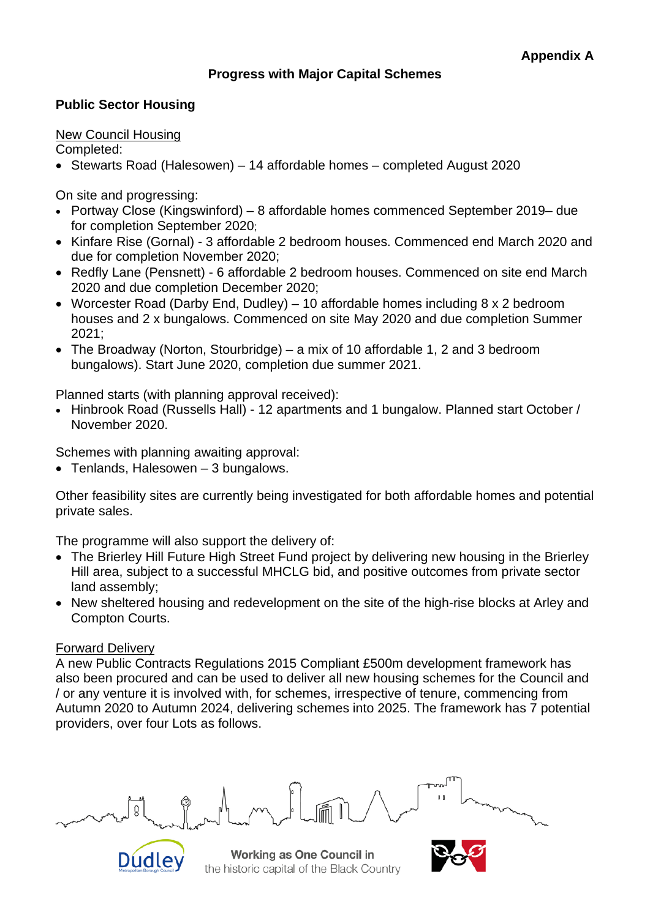# **Progress with Major Capital Schemes**

## **Public Sector Housing**

#### New Council Housing

Completed:

• Stewarts Road (Halesowen) – 14 affordable homes – completed August 2020

On site and progressing:

- Portway Close (Kingswinford) 8 affordable homes commenced September 2019– due for completion September 2020;
- Kinfare Rise (Gornal) 3 affordable 2 bedroom houses. Commenced end March 2020 and due for completion November 2020;
- Redfly Lane (Pensnett) 6 affordable 2 bedroom houses. Commenced on site end March 2020 and due completion December 2020;
- Worcester Road (Darby End, Dudley) 10 affordable homes including 8 x 2 bedroom houses and 2 x bungalows. Commenced on site May 2020 and due completion Summer 2021;
- The Broadway (Norton, Stourbridge) a mix of 10 affordable 1, 2 and 3 bedroom bungalows). Start June 2020, completion due summer 2021.

Planned starts (with planning approval received):

• Hinbrook Road (Russells Hall) - 12 apartments and 1 bungalow. Planned start October / November 2020.

Schemes with planning awaiting approval:

• Tenlands, Halesowen – 3 bungalows.

Other feasibility sites are currently being investigated for both affordable homes and potential private sales.

The programme will also support the delivery of:

- The Brierley Hill Future High Street Fund project by delivering new housing in the Brierley Hill area, subject to a successful MHCLG bid, and positive outcomes from private sector land assembly;
- New sheltered housing and redevelopment on the site of the high-rise blocks at Arley and Compton Courts.

### Forward Delivery

A new Public Contracts Regulations 2015 Compliant £500m development framework has also been procured and can be used to deliver all new housing schemes for the Council and / or any venture it is involved with, for schemes, irrespective of tenure, commencing from Autumn 2020 to Autumn 2024, delivering schemes into 2025. The framework has 7 potential providers, over four Lots as follows.



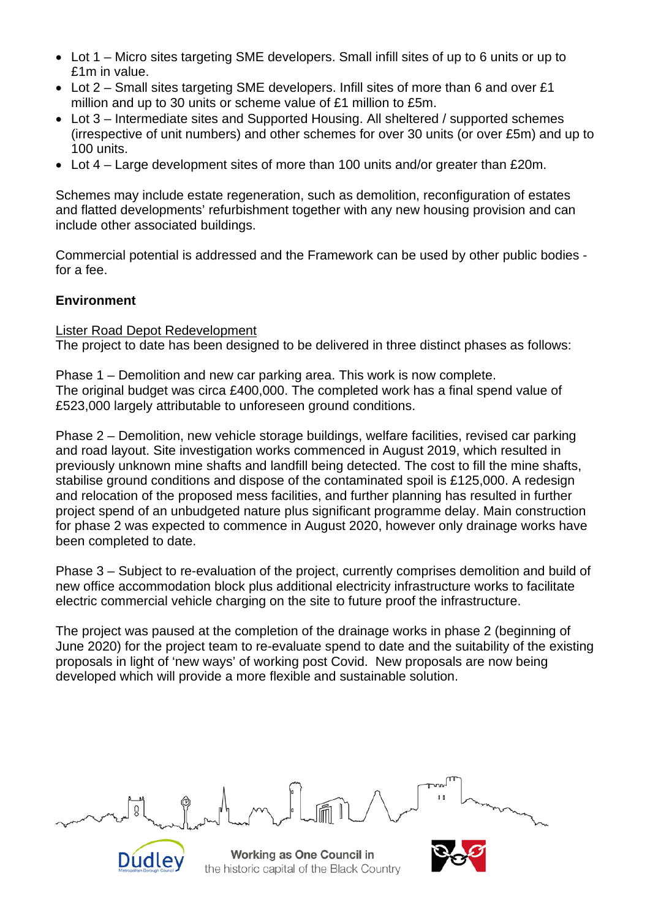- Lot 1 Micro sites targeting SME developers. Small infill sites of up to 6 units or up to £1m in value.
- Lot 2 Small sites targeting SME developers. Infill sites of more than 6 and over £1 million and up to 30 units or scheme value of £1 million to £5m.
- Lot 3 Intermediate sites and Supported Housing. All sheltered / supported schemes (irrespective of unit numbers) and other schemes for over 30 units (or over £5m) and up to 100 units.
- Lot 4 Large development sites of more than 100 units and/or greater than £20m.

Schemes may include estate regeneration, such as demolition, reconfiguration of estates and flatted developments' refurbishment together with any new housing provision and can include other associated buildings.

Commercial potential is addressed and the Framework can be used by other public bodies for a fee.

## **Environment**

#### Lister Road Depot Redevelopment

The project to date has been designed to be delivered in three distinct phases as follows:

Phase 1 – Demolition and new car parking area. This work is now complete. The original budget was circa £400,000. The completed work has a final spend value of £523,000 largely attributable to unforeseen ground conditions.

Phase 2 – Demolition, new vehicle storage buildings, welfare facilities, revised car parking and road layout. Site investigation works commenced in August 2019, which resulted in previously unknown mine shafts and landfill being detected. The cost to fill the mine shafts, stabilise ground conditions and dispose of the contaminated spoil is £125,000. A redesign and relocation of the proposed mess facilities, and further planning has resulted in further project spend of an unbudgeted nature plus significant programme delay. Main construction for phase 2 was expected to commence in August 2020, however only drainage works have been completed to date.

Phase 3 – Subject to re-evaluation of the project, currently comprises demolition and build of new office accommodation block plus additional electricity infrastructure works to facilitate electric commercial vehicle charging on the site to future proof the infrastructure.

The project was paused at the completion of the drainage works in phase 2 (beginning of June 2020) for the project team to re-evaluate spend to date and the suitability of the existing proposals in light of 'new ways' of working post Covid. New proposals are now being developed which will provide a more flexible and sustainable solution.



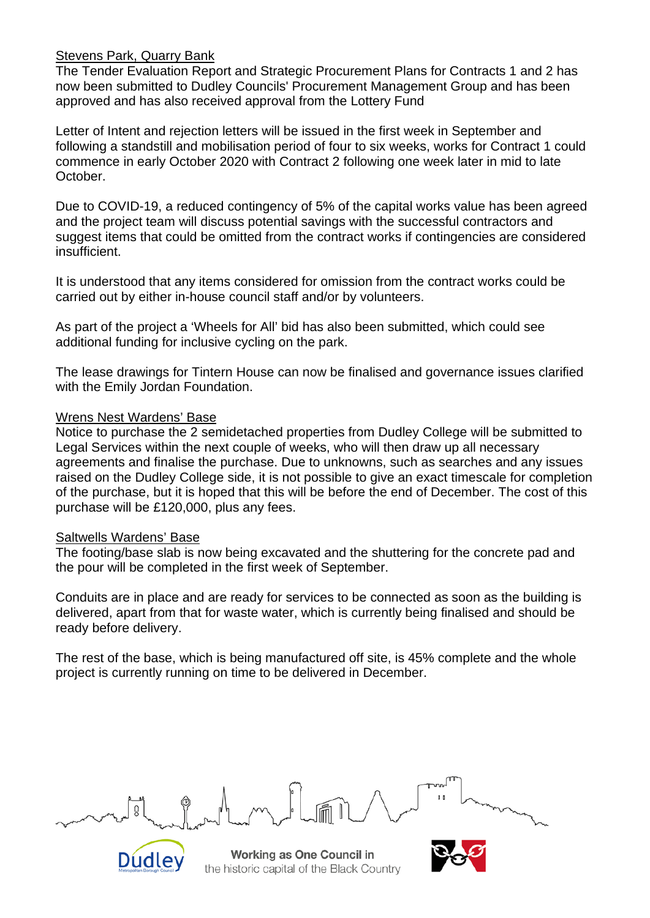### Stevens Park, Quarry Bank

The Tender Evaluation Report and Strategic Procurement Plans for Contracts 1 and 2 has now been submitted to Dudley Councils' Procurement Management Group and has been approved and has also received approval from the Lottery Fund

Letter of Intent and rejection letters will be issued in the first week in September and following a standstill and mobilisation period of four to six weeks, works for Contract 1 could commence in early October 2020 with Contract 2 following one week later in mid to late October.

Due to COVID-19, a reduced contingency of 5% of the capital works value has been agreed and the project team will discuss potential savings with the successful contractors and suggest items that could be omitted from the contract works if contingencies are considered insufficient.

It is understood that any items considered for omission from the contract works could be carried out by either in-house council staff and/or by volunteers.

As part of the project a 'Wheels for All' bid has also been submitted, which could see additional funding for inclusive cycling on the park.

The lease drawings for Tintern House can now be finalised and governance issues clarified with the Emily Jordan Foundation.

#### Wrens Nest Wardens' Base

Notice to purchase the 2 semidetached properties from Dudley College will be submitted to Legal Services within the next couple of weeks, who will then draw up all necessary agreements and finalise the purchase. Due to unknowns, such as searches and any issues raised on the Dudley College side, it is not possible to give an exact timescale for completion of the purchase, but it is hoped that this will be before the end of December. The cost of this purchase will be £120,000, plus any fees.

#### Saltwells Wardens' Base

The footing/base slab is now being excavated and the shuttering for the concrete pad and the pour will be completed in the first week of September.

Conduits are in place and are ready for services to be connected as soon as the building is delivered, apart from that for waste water, which is currently being finalised and should be ready before delivery.

The rest of the base, which is being manufactured off site, is 45% complete and the whole project is currently running on time to be delivered in December.



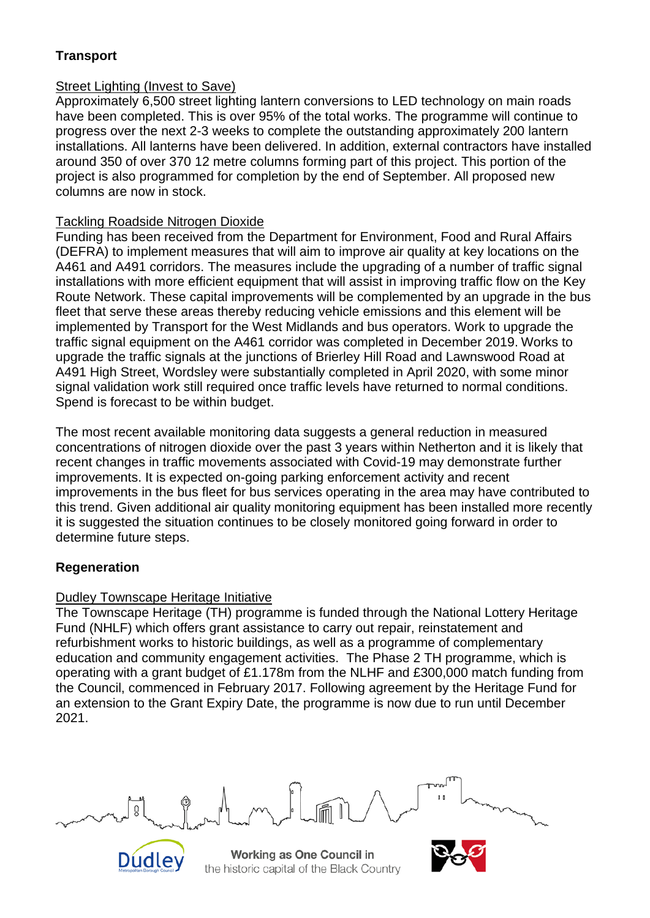# **Transport**

# Street Lighting (Invest to Save)

Approximately 6,500 street lighting lantern conversions to LED technology on main roads have been completed. This is over 95% of the total works. The programme will continue to progress over the next 2-3 weeks to complete the outstanding approximately 200 lantern installations. All lanterns have been delivered. In addition, external contractors have installed around 350 of over 370 12 metre columns forming part of this project. This portion of the project is also programmed for completion by the end of September. All proposed new columns are now in stock.

# Tackling Roadside Nitrogen Dioxide

Funding has been received from the Department for Environment, Food and Rural Affairs (DEFRA) to implement measures that will aim to improve air quality at key locations on the A461 and A491 corridors. The measures include the upgrading of a number of traffic signal installations with more efficient equipment that will assist in improving traffic flow on the Key Route Network. These capital improvements will be complemented by an upgrade in the bus fleet that serve these areas thereby reducing vehicle emissions and this element will be implemented by Transport for the West Midlands and bus operators. Work to upgrade the traffic signal equipment on the A461 corridor was completed in December 2019. Works to upgrade the traffic signals at the junctions of Brierley Hill Road and Lawnswood Road at A491 High Street, Wordsley were substantially completed in April 2020, with some minor signal validation work still required once traffic levels have returned to normal conditions. Spend is forecast to be within budget.

The most recent available monitoring data suggests a general reduction in measured concentrations of nitrogen dioxide over the past 3 years within Netherton and it is likely that recent changes in traffic movements associated with Covid-19 may demonstrate further improvements. It is expected on-going parking enforcement activity and recent improvements in the bus fleet for bus services operating in the area may have contributed to this trend. Given additional air quality monitoring equipment has been installed more recently it is suggested the situation continues to be closely monitored going forward in order to determine future steps.

# **Regeneration**

# Dudley Townscape Heritage Initiative

**Dudley** 

The Townscape Heritage (TH) programme is funded through the National Lottery Heritage Fund (NHLF) which offers grant assistance to carry out repair, reinstatement and refurbishment works to historic buildings, as well as a programme of complementary education and community engagement activities. The Phase 2 TH programme, which is operating with a grant budget of £1.178m from the NLHF and £300,000 match funding from the Council, commenced in February 2017. Following agreement by the Heritage Fund for an extension to the Grant Expiry Date, the programme is now due to run until December 2021.

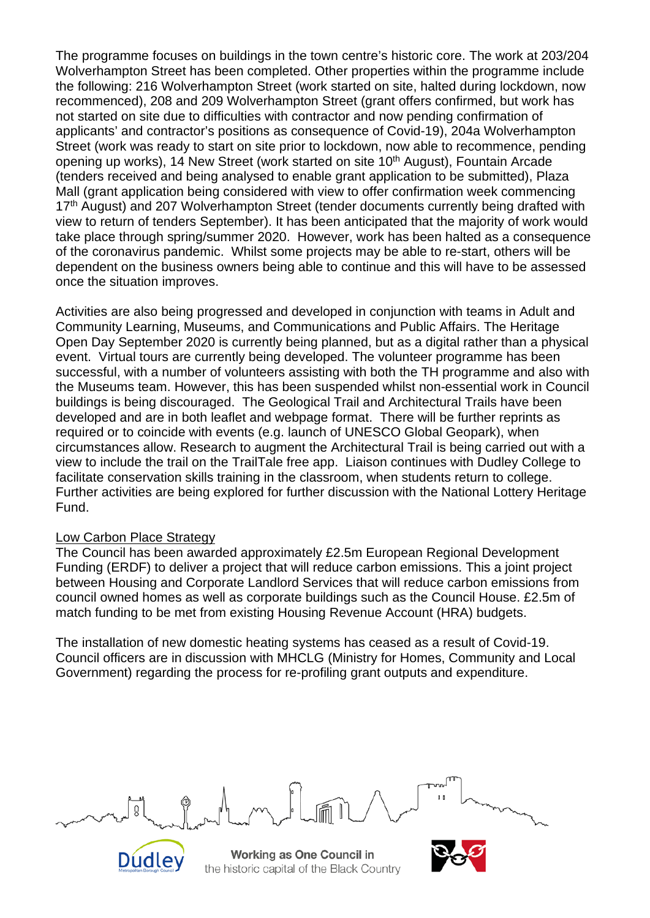The programme focuses on buildings in the town centre's historic core. The work at 203/204 Wolverhampton Street has been completed. Other properties within the programme include the following: 216 Wolverhampton Street (work started on site, halted during lockdown, now recommenced), 208 and 209 Wolverhampton Street (grant offers confirmed, but work has not started on site due to difficulties with contractor and now pending confirmation of applicants' and contractor's positions as consequence of Covid-19), 204a Wolverhampton Street (work was ready to start on site prior to lockdown, now able to recommence, pending opening up works), 14 New Street (work started on site 10<sup>th</sup> August), Fountain Arcade (tenders received and being analysed to enable grant application to be submitted), Plaza Mall (grant application being considered with view to offer confirmation week commencing 17<sup>th</sup> August) and 207 Wolverhampton Street (tender documents currently being drafted with view to return of tenders September). It has been anticipated that the majority of work would take place through spring/summer 2020. However, work has been halted as a consequence of the coronavirus pandemic. Whilst some projects may be able to re-start, others will be dependent on the business owners being able to continue and this will have to be assessed once the situation improves.

Activities are also being progressed and developed in conjunction with teams in Adult and Community Learning, Museums, and Communications and Public Affairs. The Heritage Open Day September 2020 is currently being planned, but as a digital rather than a physical event. Virtual tours are currently being developed. The volunteer programme has been successful, with a number of volunteers assisting with both the TH programme and also with the Museums team. However, this has been suspended whilst non-essential work in Council buildings is being discouraged. The Geological Trail and Architectural Trails have been developed and are in both leaflet and webpage format. There will be further reprints as required or to coincide with events (e.g. launch of UNESCO Global Geopark), when circumstances allow. Research to augment the Architectural Trail is being carried out with a view to include the trail on the TrailTale free app. Liaison continues with Dudley College to facilitate conservation skills training in the classroom, when students return to college. Further activities are being explored for further discussion with the National Lottery Heritage Fund.

### Low Carbon Place Strategy

The Council has been awarded approximately £2.5m European Regional Development Funding (ERDF) to deliver a project that will reduce carbon emissions. This a joint project between Housing and Corporate Landlord Services that will reduce carbon emissions from council owned homes as well as corporate buildings such as the Council House. £2.5m of match funding to be met from existing Housing Revenue Account (HRA) budgets.

The installation of new domestic heating systems has ceased as a result of Covid-19. Council officers are in discussion with MHCLG (Ministry for Homes, Community and Local Government) regarding the process for re-profiling grant outputs and expenditure.



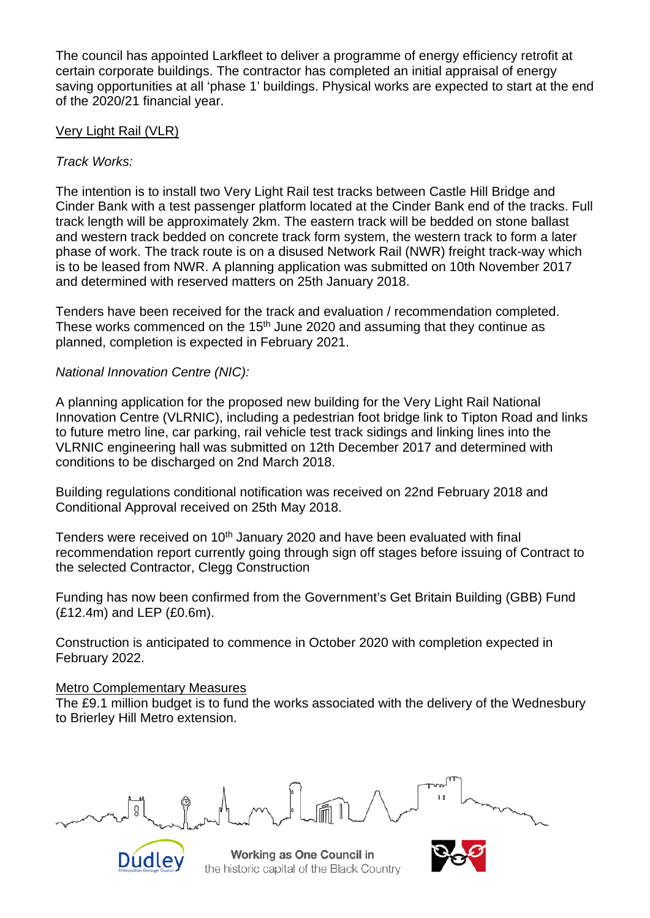The council has appointed Larkfleet to deliver a programme of energy efficiency retrofit at certain corporate buildings. The contractor has completed an initial appraisal of energy saving opportunities at all 'phase 1' buildings. Physical works are expected to start at the end of the 2020/21 financial year.

## Very Light Rail (VLR)

## *Track Works:*

The intention is to install two Very Light Rail test tracks between Castle Hill Bridge and Cinder Bank with a test passenger platform located at the Cinder Bank end of the tracks. Full track length will be approximately 2km. The eastern track will be bedded on stone ballast and western track bedded on concrete track form system, the western track to form a later phase of work. The track route is on a disused Network Rail (NWR) freight track-way which is to be leased from NWR. A planning application was submitted on 10th November 2017 and determined with reserved matters on 25th January 2018.

Tenders have been received for the track and evaluation / recommendation completed. These works commenced on the  $15<sup>th</sup>$  June 2020 and assuming that they continue as planned, completion is expected in February 2021.

## *National Innovation Centre (NIC):*

A planning application for the proposed new building for the Very Light Rail National Innovation Centre (VLRNIC), including a pedestrian foot bridge link to Tipton Road and links to future metro line, car parking, rail vehicle test track sidings and linking lines into the VLRNIC engineering hall was submitted on 12th December 2017 and determined with conditions to be discharged on 2nd March 2018.

Building regulations conditional notification was received on 22nd February 2018 and Conditional Approval received on 25th May 2018.

Tenders were received on 10<sup>th</sup> January 2020 and have been evaluated with final recommendation report currently going through sign off stages before issuing of Contract to the selected Contractor, Clegg Construction

Funding has now been confirmed from the Government's Get Britain Building (GBB) Fund (£12.4m) and LEP (£0.6m).

Construction is anticipated to commence in October 2020 with completion expected in February 2022.

### Metro Complementary Measures

The £9.1 million budget is to fund the works associated with the delivery of the Wednesbury to Brierley Hill Metro extension.



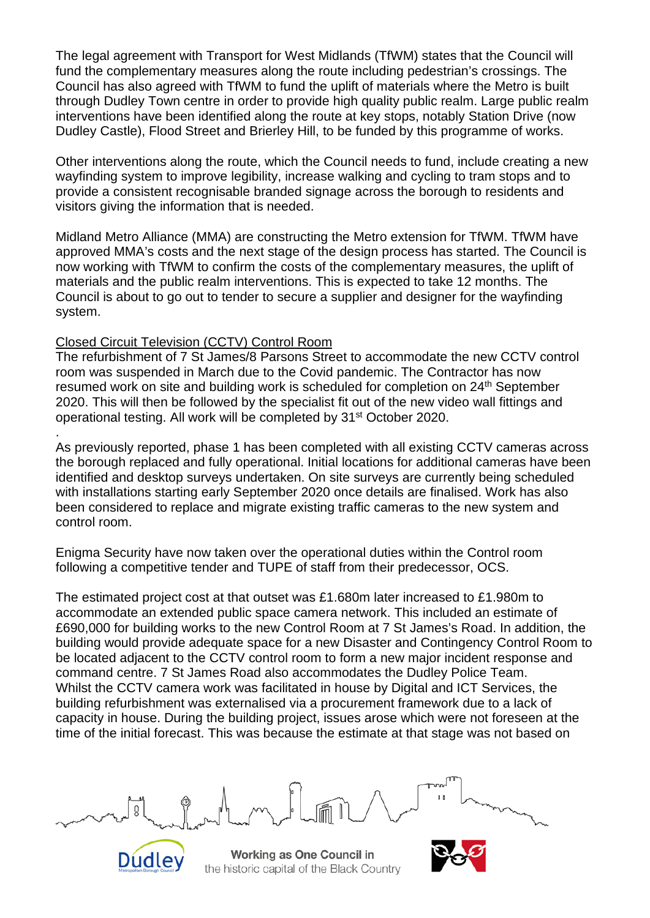The legal agreement with Transport for West Midlands (TfWM) states that the Council will fund the complementary measures along the route including pedestrian's crossings. The Council has also agreed with TfWM to fund the uplift of materials where the Metro is built through Dudley Town centre in order to provide high quality public realm. Large public realm interventions have been identified along the route at key stops, notably Station Drive (now Dudley Castle), Flood Street and Brierley Hill, to be funded by this programme of works.

Other interventions along the route, which the Council needs to fund, include creating a new wayfinding system to improve legibility, increase walking and cycling to tram stops and to provide a consistent recognisable branded signage across the borough to residents and visitors giving the information that is needed.

Midland Metro Alliance (MMA) are constructing the Metro extension for TfWM. TfWM have approved MMA's costs and the next stage of the design process has started. The Council is now working with TfWM to confirm the costs of the complementary measures, the uplift of materials and the public realm interventions. This is expected to take 12 months. The Council is about to go out to tender to secure a supplier and designer for the wayfinding system.

# Closed Circuit Television (CCTV) Control Room

.

The refurbishment of 7 St James/8 Parsons Street to accommodate the new CCTV control room was suspended in March due to the Covid pandemic. The Contractor has now resumed work on site and building work is scheduled for completion on 24<sup>th</sup> September 2020. This will then be followed by the specialist fit out of the new video wall fittings and operational testing. All work will be completed by 31st October 2020.

As previously reported, phase 1 has been completed with all existing CCTV cameras across the borough replaced and fully operational. Initial locations for additional cameras have been identified and desktop surveys undertaken. On site surveys are currently being scheduled with installations starting early September 2020 once details are finalised. Work has also been considered to replace and migrate existing traffic cameras to the new system and control room.

Enigma Security have now taken over the operational duties within the Control room following a competitive tender and TUPE of staff from their predecessor, OCS.

The estimated project cost at that outset was £1.680m later increased to £1.980m to accommodate an extended public space camera network. This included an estimate of £690,000 for building works to the new Control Room at 7 St James's Road. In addition, the building would provide adequate space for a new Disaster and Contingency Control Room to be located adjacent to the CCTV control room to form a new major incident response and command centre. 7 St James Road also accommodates the Dudley Police Team. Whilst the CCTV camera work was facilitated in house by Digital and ICT Services, the building refurbishment was externalised via a procurement framework due to a lack of capacity in house. During the building project, issues arose which were not foreseen at the time of the initial forecast. This was because the estimate at that stage was not based on



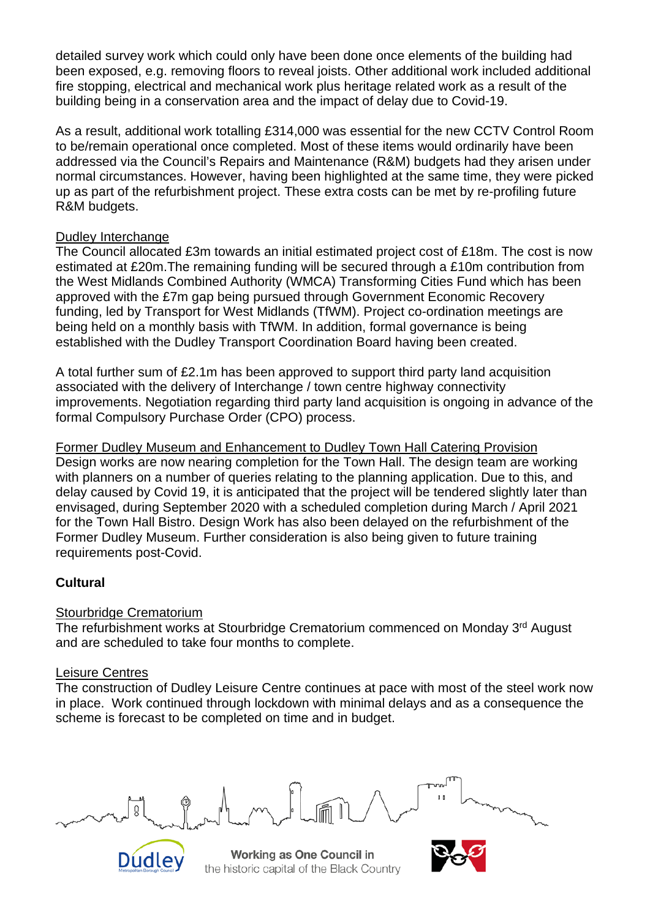detailed survey work which could only have been done once elements of the building had been exposed, e.g. removing floors to reveal joists. Other additional work included additional fire stopping, electrical and mechanical work plus heritage related work as a result of the building being in a conservation area and the impact of delay due to Covid-19.

As a result, additional work totalling £314,000 was essential for the new CCTV Control Room to be/remain operational once completed. Most of these items would ordinarily have been addressed via the Council's Repairs and Maintenance (R&M) budgets had they arisen under normal circumstances. However, having been highlighted at the same time, they were picked up as part of the refurbishment project. These extra costs can be met by re-profiling future R&M budgets.

## Dudley Interchange

The Council allocated £3m towards an initial estimated project cost of £18m. The cost is now estimated at £20m.The remaining funding will be secured through a £10m contribution from the West Midlands Combined Authority (WMCA) Transforming Cities Fund which has been approved with the £7m gap being pursued through Government Economic Recovery funding, led by Transport for West Midlands (TfWM). Project co-ordination meetings are being held on a monthly basis with TfWM. In addition, formal governance is being established with the Dudley Transport Coordination Board having been created.

A total further sum of £2.1m has been approved to support third party land acquisition associated with the delivery of Interchange / town centre highway connectivity improvements. Negotiation regarding third party land acquisition is ongoing in advance of the formal Compulsory Purchase Order (CPO) process.

Former Dudley Museum and Enhancement to Dudley Town Hall Catering Provision Design works are now nearing completion for the Town Hall. The design team are working with planners on a number of queries relating to the planning application. Due to this, and delay caused by Covid 19, it is anticipated that the project will be tendered slightly later than envisaged, during September 2020 with a scheduled completion during March / April 2021 for the Town Hall Bistro. Design Work has also been delayed on the refurbishment of the Former Dudley Museum. Further consideration is also being given to future training requirements post-Covid.

# **Cultural**

# Stourbridge Crematorium

The refurbishment works at Stourbridge Crematorium commenced on Monday 3<sup>rd</sup> August and are scheduled to take four months to complete.

# Leisure Centres

The construction of Dudley Leisure Centre continues at pace with most of the steel work now in place. Work continued through lockdown with minimal delays and as a consequence the scheme is forecast to be completed on time and in budget.



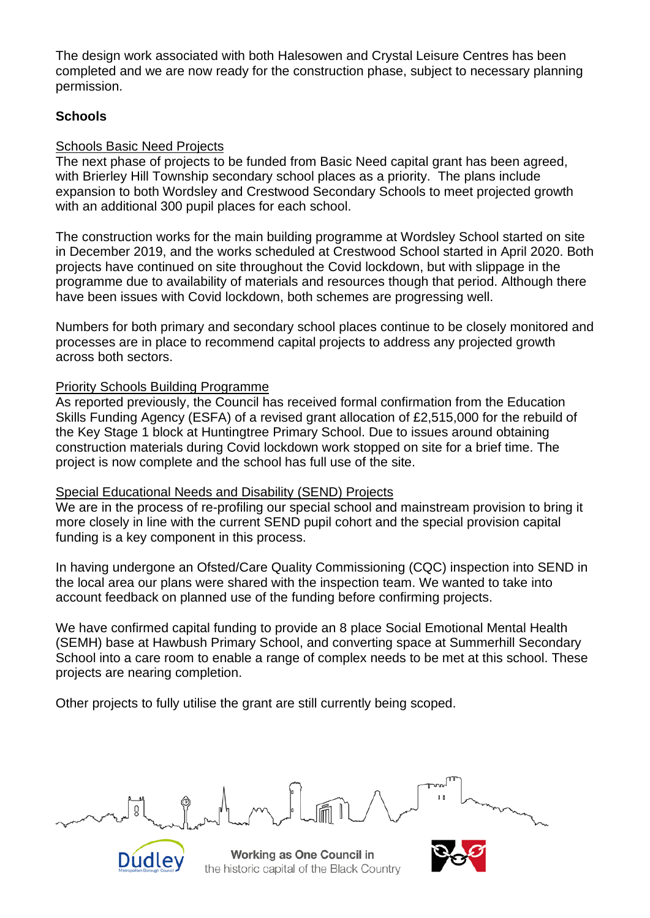The design work associated with both Halesowen and Crystal Leisure Centres has been completed and we are now ready for the construction phase, subject to necessary planning permission.

# **Schools**

### Schools Basic Need Projects

The next phase of projects to be funded from Basic Need capital grant has been agreed, with Brierley Hill Township secondary school places as a priority. The plans include expansion to both Wordsley and Crestwood Secondary Schools to meet projected growth with an additional 300 pupil places for each school.

The construction works for the main building programme at Wordsley School started on site in December 2019, and the works scheduled at Crestwood School started in April 2020. Both projects have continued on site throughout the Covid lockdown, but with slippage in the programme due to availability of materials and resources though that period. Although there have been issues with Covid lockdown, both schemes are progressing well.

Numbers for both primary and secondary school places continue to be closely monitored and processes are in place to recommend capital projects to address any projected growth across both sectors.

## Priority Schools Building Programme

As reported previously, the Council has received formal confirmation from the Education Skills Funding Agency (ESFA) of a revised grant allocation of £2,515,000 for the rebuild of the Key Stage 1 block at Huntingtree Primary School. Due to issues around obtaining construction materials during Covid lockdown work stopped on site for a brief time. The project is now complete and the school has full use of the site.

### Special Educational Needs and Disability (SEND) Projects

We are in the process of re-profiling our special school and mainstream provision to bring it more closely in line with the current SEND pupil cohort and the special provision capital funding is a key component in this process.

In having undergone an Ofsted/Care Quality Commissioning (CQC) inspection into SEND in the local area our plans were shared with the inspection team. We wanted to take into account feedback on planned use of the funding before confirming projects.

We have confirmed capital funding to provide an 8 place Social Emotional Mental Health (SEMH) base at Hawbush Primary School, and converting space at Summerhill Secondary School into a care room to enable a range of complex needs to be met at this school. These projects are nearing completion.

Other projects to fully utilise the grant are still currently being scoped.